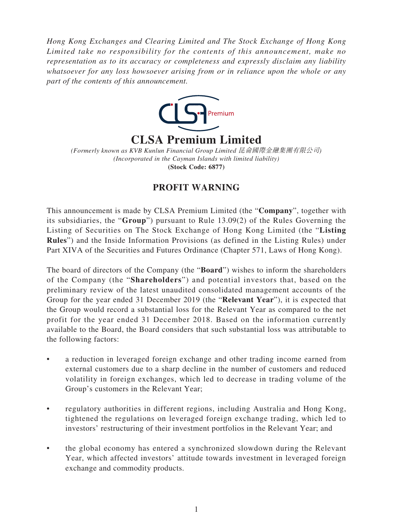*Hong Kong Exchanges and Clearing Limited and The Stock Exchange of Hong Kong Limited take no responsibility for the contents of this announcement, make no representation as to its accuracy or completeness and expressly disclaim any liability whatsoever for any loss howsoever arising from or in reliance upon the whole or any part of the contents of this announcement.*



# **CLSA Premium Limited**

*(Incorporated in the Cayman Islands with limited liability)* **(Stock Code: 6877)** *(Formerly known as KVB Kunlun Financial Group Limited* 昆侖國際金融集團有限公司*)*

## **PROFIT WARNING**

This announcement is made by CLSA Premium Limited (the "**Company**", together with its subsidiaries, the "**Group**") pursuant to Rule 13.09(2) of the Rules Governing the Listing of Securities on The Stock Exchange of Hong Kong Limited (the "**Listing Rules**") and the Inside Information Provisions (as defined in the Listing Rules) under Part XIVA of the Securities and Futures Ordinance (Chapter 571, Laws of Hong Kong).

The board of directors of the Company (the "**Board**") wishes to inform the shareholders of the Company (the "**Shareholders**") and potential investors that, based on the preliminary review of the latest unaudited consolidated management accounts of the Group for the year ended 31 December 2019 (the "**Relevant Year**"), it is expected that the Group would record a substantial loss for the Relevant Year as compared to the net profit for the year ended 31 December 2018. Based on the information currently available to the Board, the Board considers that such substantial loss was attributable to the following factors:

- a reduction in leveraged foreign exchange and other trading income earned from external customers due to a sharp decline in the number of customers and reduced volatility in foreign exchanges, which led to decrease in trading volume of the Group's customers in the Relevant Year;
- regulatory authorities in different regions, including Australia and Hong Kong, tightened the regulations on leveraged foreign exchange trading, which led to investors' restructuring of their investment portfolios in the Relevant Year; and
- the global economy has entered a synchronized slowdown during the Relevant Year, which affected investors' attitude towards investment in leveraged foreign exchange and commodity products.